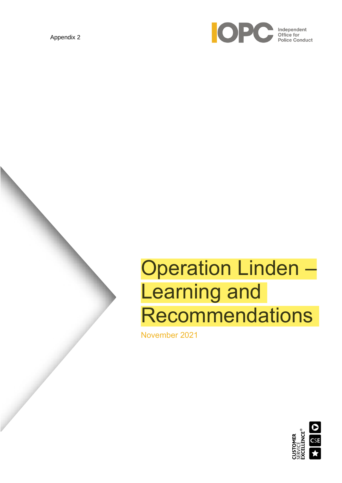Appendix 2



# Operation Linden – Learning and **Recommendations**

November 2021

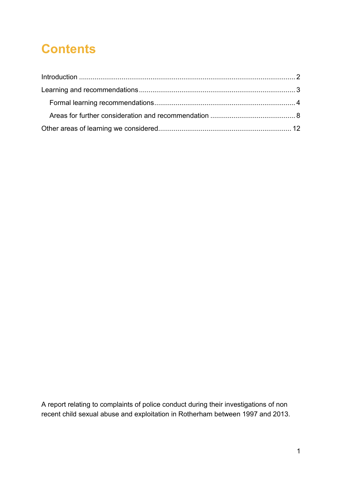# **Contents**

A report relating to complaints of police conduct during their investigations of non recent child sexual abuse and exploitation in Rotherham between 1997 and 2013.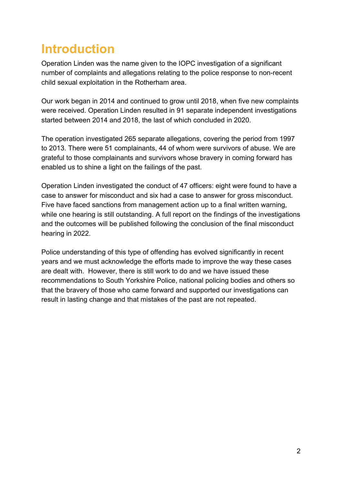### <span id="page-2-0"></span>**Introduction**

Operation Linden was the name given to the IOPC investigation of a significant number of complaints and allegations relating to the police response to non-recent child sexual exploitation in the Rotherham area.

Our work began in 2014 and continued to grow until 2018, when five new complaints were received. Operation Linden resulted in 91 separate independent investigations started between 2014 and 2018, the last of which concluded in 2020.

The operation investigated 265 separate allegations, covering the period from 1997 to 2013. There were 51 complainants, 44 of whom were survivors of abuse. We are grateful to those complainants and survivors whose bravery in coming forward has enabled us to shine a light on the failings of the past.

Operation Linden investigated the conduct of 47 officers: eight were found to have a case to answer for misconduct and six had a case to answer for gross misconduct. Five have faced sanctions from management action up to a final written warning, while one hearing is still outstanding. A full report on the findings of the investigations and the outcomes will be published following the conclusion of the final misconduct hearing in 2022.

Police understanding of this type of offending has evolved significantly in recent years and we must acknowledge the efforts made to improve the way these cases are dealt with. However, there is still work to do and we have issued these recommendations to South Yorkshire Police, national policing bodies and others so that the bravery of those who came forward and supported our investigations can result in lasting change and that mistakes of the past are not repeated.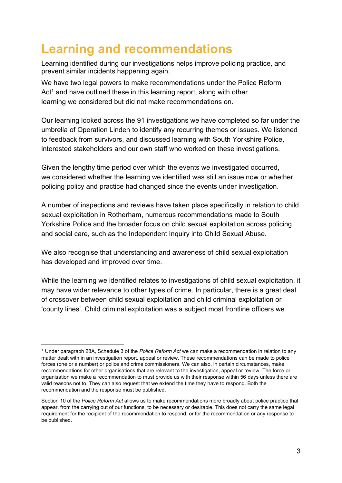### <span id="page-3-0"></span>**Learning and recommendations**

Learning identified during our investigations helps improve policing practice, and prevent similar incidents happening again.

We have two legal powers to make recommendations under the Police Reform Act<sup>1</sup> and have outlined these in this learning report, along with other learning we considered but did not make recommendations on.

Our learning looked across the 91 investigations we have completed so far under the umbrella of Operation Linden to identify any recurring themes or issues. We listened to feedback from survivors, and discussed learning with South Yorkshire Police, interested stakeholders and our own staff who worked on these investigations.

Given the lengthy time period over which the events we investigated occurred, we considered whether the learning we identified was still an issue now or whether policing policy and practice had changed since the events under investigation.

A number of inspections and reviews have taken place specifically in relation to child sexual exploitation in Rotherham, numerous recommendations made to South Yorkshire Police and the broader focus on child sexual exploitation across policing and social care, such as the Independent Inquiry into Child Sexual Abuse.

We also recognise that understanding and awareness of child sexual exploitation has developed and improved over time.

While the learning we identified relates to investigations of child sexual exploitation, it may have wider relevance to other types of crime. In particular, there is a great deal of crossover between child sexual exploitation and child criminal exploitation or 'county lines'. Child criminal exploitation was a subject most frontline officers we

<sup>1</sup> Under paragraph 28A, Schedule 3 of the *Police Reform Act* we can make a recommendation in relation to any matter dealt with in an investigation report, appeal or review. These recommendations can be made to police forces (one or a number) or police and crime commissioners. We can also, in certain circumstances, make recommendations for other organisations that are relevant to the investigation, appeal or review. The force or organisation we make a recommendation to must provide us with their response within 56 days unless there are valid reasons not to. They can also request that we extend the time they have to respond. Both the recommendation and the response must be published.

Section 10 of the *Police Reform Act* allows us to make recommendations more broadly about police practice that appear, from the carrying out of our functions, to be necessary or desirable. This does not carry the same legal requirement for the recipient of the recommendation to respond, or for the recommendation or any response to be published.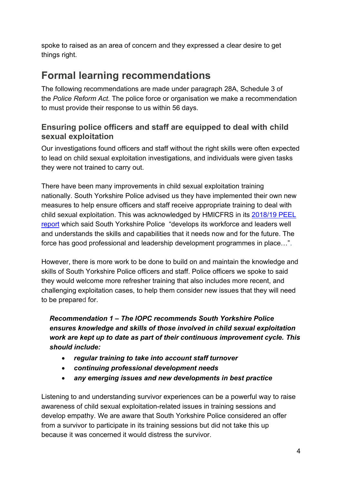spoke to raised as an area of concern and they expressed a clear desire to get things right.

### <span id="page-4-0"></span>**Formal learning recommendations**

The following recommendations are made under paragraph 28A, Schedule 3 of the *Police Reform Act.* The police force or organisation we make a recommendation to must provide their response to us within 56 days.

#### **Ensuring police officers and staff are equipped to deal with child sexual exploitation**

Our investigations found officers and staff without the right skills were often expected to lead on child sexual exploitation investigations, and individuals were given tasks they were not trained to carry out.

There have been many improvements in child sexual exploitation training nationally. South Yorkshire Police advised us they have implemented their own new measures to help ensure officers and staff receive appropriate training to deal with child sexual exploitation. This was acknowledged by HMICFRS in its [2018/19 PEEL](file:///C:/Users/sarah.morley/Downloads/South%20Yorkshire%20-%20PEEL%20Assessment%202018/19%20-%20HMICFRS%20(justiceinspectorates.gov.uk))  [report](file:///C:/Users/sarah.morley/Downloads/South%20Yorkshire%20-%20PEEL%20Assessment%202018/19%20-%20HMICFRS%20(justiceinspectorates.gov.uk)) which said South Yorkshire Police "develops its workforce and leaders well and understands the skills and capabilities that it needs now and for the future. The force has good professional and leadership development programmes in place…".

However, there is more work to be done to build on and maintain the knowledge and skills of South Yorkshire Police officers and staff. Police officers we spoke to said they would welcome more refresher training that also includes more recent, and challenging exploitation cases, to help them consider new issues that they will need to be prepared for.

*Recommendation 1 – The IOPC recommends South Yorkshire Police ensures knowledge and skills of those involved in child sexual exploitation work are kept up to date as part of their continuous improvement cycle. This should include:*

- *regular training to take into account staff turnover*
- *continuing professional development needs*
- *any emerging issues and new developments in best practice*

Listening to and understanding survivor experiences can be a powerful way to raise awareness of child sexual exploitation-related issues in training sessions and develop empathy. We are aware that South Yorkshire Police considered an offer from a survivor to participate in its training sessions but did not take this up because it was concerned it would distress the survivor.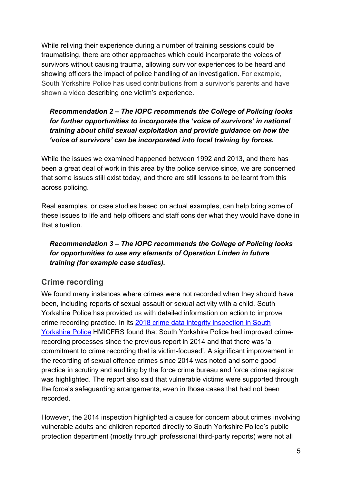While reliving their experience during a number of training sessions could be traumatising, there are other approaches which could incorporate the voices of survivors without causing trauma, allowing survivor experiences to be heard and showing officers the impact of police handling of an investigation. For example, South Yorkshire Police has used contributions from a survivor's parents and have shown a video describing one victim's experience.

#### *Recommendation 2 – The IOPC recommends the College of Policing looks for further opportunities to incorporate the 'voice of survivors' in national training about child sexual exploitation and provide guidance on how the 'voice of survivors' can be incorporated into local training by forces.*

While the issues we examined happened between 1992 and 2013, and there has been a great deal of work in this area by the police service since, we are concerned that some issues still exist today, and there are still lessons to be learnt from this across policing.

Real examples, or case studies based on actual examples, can help bring some of these issues to life and help officers and staff consider what they would have done in that situation.

#### *Recommendation 3 – The IOPC recommends the College of Policing looks for opportunities to use any elements of Operation Linden in future training (for example case studies).*

#### **Crime recording**

We found many instances where crimes were not recorded when they should have been, including reports of sexual assault or sexual activity with a child. South Yorkshire Police has provided us with detailed information on action to improve crime recording practice. In its [2018 crime data integrity inspection in South](https://www.justiceinspectorates.gov.uk/hmicfrs/publications/south-yorkshire-police-crime-data-integrity-inspection-2018/)  [Yorkshire Police](https://www.justiceinspectorates.gov.uk/hmicfrs/publications/south-yorkshire-police-crime-data-integrity-inspection-2018/) HMICFRS found that South Yorkshire Police had improved crimerecording processes since the previous report in 2014 and that there was 'a commitment to crime recording that is victim-focused'. A significant improvement in the recording of sexual offence crimes since 2014 was noted and some good practice in scrutiny and auditing by the force crime bureau and force crime registrar was highlighted. The report also said that vulnerable victims were supported through the force's safeguarding arrangements, even in those cases that had not been recorded.

However, the 2014 inspection highlighted a cause for concern about crimes involving vulnerable adults and children reported directly to South Yorkshire Police's public protection department (mostly through professional third-party reports) were not all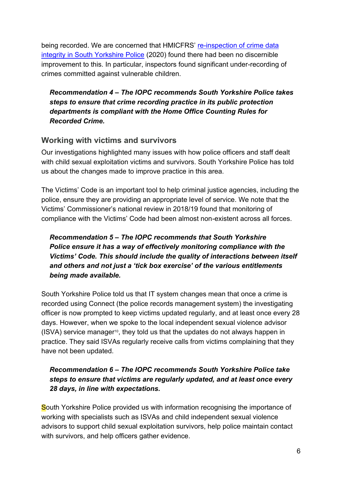being recorded. We are concerned that HMICFRS' re-inspection of crime data [integrity in South Yorkshire Police](https://www.justiceinspectorates.gov.uk/hmicfrs/publications/south-yorkshire-police-crime-data-integrity-inspection-revisit/) (2020) found there had been no discernible improvement to this. In particular, inspectors found significant under-recording of crimes committed against vulnerable children.

*Recommendation 4 – The IOPC recommends South Yorkshire Police takes steps to ensure that crime recording practice in its public protection departments is compliant with the Home Office Counting Rules for Recorded Crime.*

#### **Working with victims and survivors**

Our investigations highlighted many issues with how police officers and staff dealt with child sexual exploitation victims and survivors. South Yorkshire Police has told us about the changes made to improve practice in this area.

The Victims' Code is an important tool to help criminal justice agencies, including the police, ensure they are providing an appropriate level of service. We note that the Victims' Commissioner's national review in 2018/19 found that monitoring of compliance with the Victims' Code had been almost non-existent across all forces.

*Recommendation 5 – The IOPC recommends that South Yorkshire Police ensure it has a way of effectively monitoring compliance with the Victims' Code. This should include the quality of interactions between itself and others and not just a 'tick box exercise' of the various entitlements being made available.*

South Yorkshire Police told us that IT system changes mean that once a crime is recorded using Connect (the police records management system) the investigating officer is now prompted to keep victims updated regularly, and at least once every 28 days. However, when we spoke to the local independent sexual violence advisor (ISVA) service manager10, they told us that the updates do not always happen in practice. They said ISVAs regularly receive calls from victims complaining that they have not been updated.

#### *Recommendation 6 – The IOPC recommends South Yorkshire Police take steps to ensure that victims are regularly updated, and at least once every 28 days, in line with expectations.*

South Yorkshire Police provided us with information recognising the importance of working with specialists such as ISVAs and child independent sexual violence advisors to support child sexual exploitation survivors, help police maintain contact with survivors, and help officers gather evidence.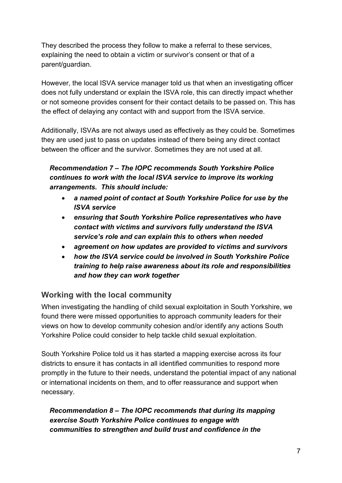They described the process they follow to make a referral to these services, explaining the need to obtain a victim or survivor's consent or that of a parent/guardian.

However, the local ISVA service manager told us that when an investigating officer does not fully understand or explain the ISVA role, this can directly impact whether or not someone provides consent for their contact details to be passed on. This has the effect of delaying any contact with and support from the ISVA service.

Additionally, ISVAs are not always used as effectively as they could be. Sometimes they are used just to pass on updates instead of there being any direct contact between the officer and the survivor. Sometimes they are not used at all.

*Recommendation 7 – The IOPC recommends South Yorkshire Police continues to work with the local ISVA service to improve its working arrangements. This should include:*

- *a named point of contact at South Yorkshire Police for use by the ISVA service*
- *ensuring that South Yorkshire Police representatives who have contact with victims and survivors fully understand the ISVA service's role and can explain this to others when needed*
- *agreement on how updates are provided to victims and survivors*
- *how the ISVA service could be involved in South Yorkshire Police training to help raise awareness about its role and responsibilities and how they can work together*

#### **Working with the local community**

When investigating the handling of child sexual exploitation in South Yorkshire, we found there were missed opportunities to approach community leaders for their views on how to develop community cohesion and/or identify any actions South Yorkshire Police could consider to help tackle child sexual exploitation.

South Yorkshire Police told us it has started a mapping exercise across its four districts to ensure it has contacts in all identified communities to respond more promptly in the future to their needs, understand the potential impact of any national or international incidents on them, and to offer reassurance and support when necessary.

*Recommendation 8 – The IOPC recommends that during its mapping exercise South Yorkshire Police continues to engage with communities to strengthen and build trust and confidence in the*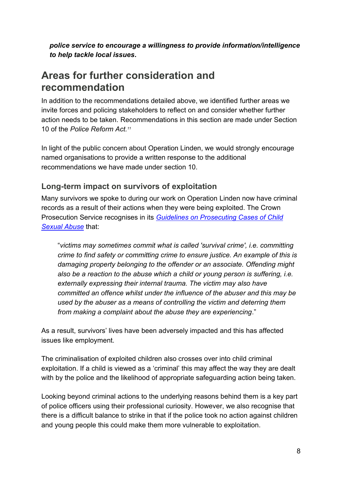*police service to encourage a willingness to provide information/intelligence to help tackle local issues***.**

### <span id="page-8-0"></span>**Areas for further consideration and recommendation**

In addition to the recommendations detailed above, we identified further areas we invite forces and policing stakeholders to reflect on and consider whether further action needs to be taken. Recommendations in this section are made under Section 10 of the *Police Reform Act.<sup>11</sup>*

In light of the public concern about Operation Linden, we would strongly encourage named organisations to provide a written response to the additional recommendations we have made under section 10.

#### **Long-term impact on survivors of exploitation**

Many survivors we spoke to during our work on Operation Linden now have criminal records as a result of their actions when they were being exploited. The Crown Prosecution Service recognises in its *[Guidelines on Prosecuting Cases of Child](https://www.cps.gov.uk/legal-guidance/child-sexual-abuse-guidelines-prosecuting-cases-child-sexual-abuse)  [Sexual Abuse](https://www.cps.gov.uk/legal-guidance/child-sexual-abuse-guidelines-prosecuting-cases-child-sexual-abuse)* that:

"*victims may sometimes commit what is called 'survival crime', i.e. committing crime to find safety or committing crime to ensure justice. An example of this is damaging property belonging to the offender or an associate. Offending might also be a reaction to the abuse which a child or young person is suffering, i.e. externally expressing their internal trauma. The victim may also have committed an offence whilst under the influence of the abuser and this may be used by the abuser as a means of controlling the victim and deterring them from making a complaint about the abuse they are experiencing*."

As a result, survivors' lives have been adversely impacted and this has affected issues like employment.

The criminalisation of exploited children also crosses over into child criminal exploitation. If a child is viewed as a 'criminal' this may affect the way they are dealt with by the police and the likelihood of appropriate safeguarding action being taken.

Looking beyond criminal actions to the underlying reasons behind them is a key part of police officers using their professional curiosity. However, we also recognise that there is a difficult balance to strike in that if the police took no action against children and young people this could make them more vulnerable to exploitation.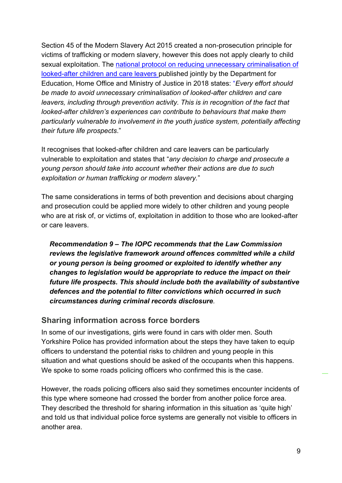Section 45 of the Modern Slavery Act 2015 created a non-prosecution principle for victims of trafficking or modern slavery, however this does not apply clearly to child sexual exploitation. The [national protocol on reducing unnecessary criminalisation of](https://assets.publishing.service.gov.uk/government/uploads/system/uploads/attachment_data/file/765082/The_national_protocol_on_reducing_unnecessary_criminalisation_of_looked-after_children_and_care_.pdf)  [looked-after children and care leavers](https://assets.publishing.service.gov.uk/government/uploads/system/uploads/attachment_data/file/765082/The_national_protocol_on_reducing_unnecessary_criminalisation_of_looked-after_children_and_care_.pdf) published jointly by the Department for Education, Home Office and Ministry of Justice in 2018 states: "*Every effort should be made to avoid unnecessary criminalisation of looked-after children and care leavers, including through prevention activity. This is in recognition of the fact that looked-after children's experiences can contribute to behaviours that make them particularly vulnerable to involvement in the youth justice system, potentially affecting their future life prospects*."

It recognises that looked-after children and care leavers can be particularly vulnerable to exploitation and states that "*any decision to charge and prosecute a young person should take into account whether their actions are due to such exploitation or human trafficking or modern slavery.*"

The same considerations in terms of both prevention and decisions about charging and prosecution could be applied more widely to other children and young people who are at risk of, or victims of, exploitation in addition to those who are looked-after or care leavers.

*Recommendation 9 – The IOPC recommends that the Law Commission reviews the legislative framework around offences committed while a child or young person is being groomed or exploited to identify whether any changes to legislation would be appropriate to reduce the impact on their future life prospects. This should include both the availability of substantive defences and the potential to filter convictions which occurred in such circumstances during criminal records disclosure.*

#### **Sharing information across force borders**

In some of our investigations, girls were found in cars with older men. South Yorkshire Police has provided information about the steps they have taken to equip officers to understand the potential risks to children and young people in this situation and what questions should be asked of the occupants when this happens. We spoke to some roads policing officers who confirmed this is the case.

However, the roads policing officers also said they sometimes encounter incidents of this type where someone had crossed the border from another police force area. They described the threshold for sharing information in this situation as 'quite high' and told us that individual police force systems are generally not visible to officers in another area.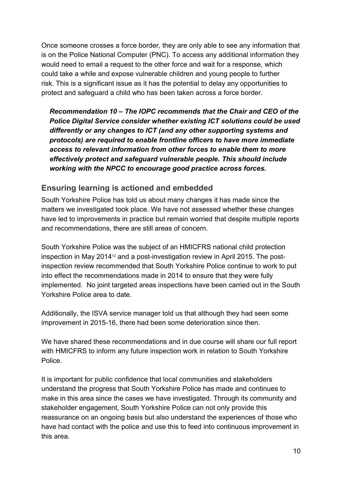Once someone crosses a force border, they are only able to see any information that is on the Police National Computer (PNC). To access any additional information they would need to email a request to the other force and wait for a response, which could take a while and expose vulnerable children and young people to further risk. This is a significant issue as it has the potential to delay any opportunities to protect and safeguard a child who has been taken across a force border.

*Recommendation 10 – The IOPC recommends that the Chair and CEO of the Police Digital Service consider whether existing ICT solutions could be used differently or any changes to ICT (and any other supporting systems and protocols) are required to enable frontline officers to have more immediate access to relevant information from other forces to enable them to more effectively protect and safeguard vulnerable people. This should include working with the NPCC to encourage good practice across forces.*

#### **Ensuring learning is actioned and embedded**

South Yorkshire Police has told us about many changes it has made since the matters we investigated took place. We have not assessed whether these changes have led to improvements in practice but remain worried that despite multiple reports and recommendations, there are still areas of concern.

South Yorkshire Police was the subject of an HMICFRS national child protection inspection in May 2014<sup>12</sup> and a post-investigation review in April 2015. The postinspection review recommended that South Yorkshire Police continue to work to put into effect the recommendations made in 2014 to ensure that they were fully implemented. No joint targeted areas inspections have been carried out in the South Yorkshire Police area to date.

Additionally, the ISVA service manager told us that although they had seen some improvement in 2015-16, there had been some deterioration since then.

We have shared these recommendations and in due course will share our full report with HMICFRS to inform any future inspection work in relation to South Yorkshire Police.

It is important for public confidence that local communities and stakeholders understand the progress that South Yorkshire Police has made and continues to make in this area since the cases we have investigated. Through its community and stakeholder engagement, South Yorkshire Police can not only provide this reassurance on an ongoing basis but also understand the experiences of those who have had contact with the police and use this to feed into continuous improvement in this area.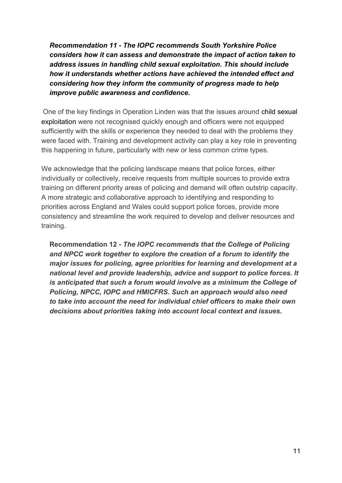*Recommendation 11 - The IOPC recommends South Yorkshire Police considers how it can assess and demonstrate the impact of action taken to address issues in handling child sexual exploitation. This should include how it understands whether actions have achieved the intended effect and considering how they inform the community of progress made to help improve public awareness and confidence.*

One of the key findings in Operation Linden was that the issues around child sexual exploitation were not recognised quickly enough and officers were not equipped sufficiently with the skills or experience they needed to deal with the problems they were faced with. Training and development activity can play a key role in preventing this happening in future, particularly with new or less common crime types.

We acknowledge that the policing landscape means that police forces, either individually or collectively, receive requests from multiple sources to provide extra training on different priority areas of policing and demand will often outstrip capacity. A more strategic and collaborative approach to identifying and responding to priorities across England and Wales could support police forces, provide more consistency and streamline the work required to develop and deliver resources and training.

**Recommendation 12 -** *The IOPC recommends that the College of Policing and NPCC work together to explore the creation of a forum to identify the major issues for policing, agree priorities for learning and development at a national level and provide leadership, advice and support to police forces. It is anticipated that such a forum would involve as a minimum the College of Policing, NPCC, IOPC and HMICFRS. Such an approach would also need to take into account the need for individual chief officers to make their own decisions about priorities taking into account local context and issues.*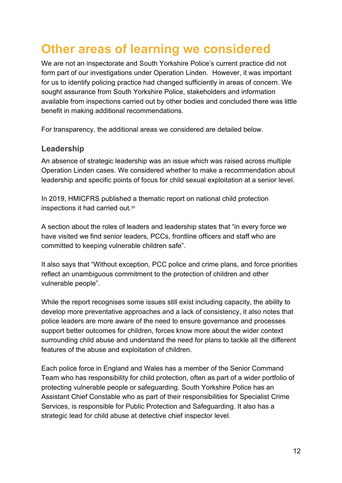## <span id="page-12-0"></span>**Other areas of learning we considered**

We are not an inspectorate and South Yorkshire Police's current practice did not form part of our investigations under Operation Linden. However, it was important for us to identify policing practice had changed sufficiently in areas of concern. We sought assurance from South Yorkshire Police, stakeholders and information available from inspections carried out by other bodies and concluded there was little benefit in making additional recommendations.

For transparency, the additional areas we considered are detailed below.

#### **Leadership**

An absence of strategic leadership was an issue which was raised across multiple Operation Linden cases. We considered whether to make a recommendation about leadership and specific points of focus for child sexual exploitation at a senior level.

In 2019, HMICFRS published a thematic report on national child protection inspections it had carried out.<sup>39</sup>

A section about the roles of leaders and leadership states that "in every force we have visited we find senior leaders, PCCs, frontline officers and staff who are committed to keeping vulnerable children safe".

It also says that "Without exception, PCC police and crime plans, and force priorities reflect an unambiguous commitment to the protection of children and other vulnerable people".

While the report recognises some issues still exist including capacity, the ability to develop more preventative approaches and a lack of consistency, it also notes that police leaders are more aware of the need to ensure governance and processes support better outcomes for children, forces know more about the wider context surrounding child abuse and understand the need for plans to tackle all the different features of the abuse and exploitation of children.

Each police force in England and Wales has a member of the Senior Command Team who has responsibility for child protection, often as part of a wider portfolio of protecting vulnerable people or safeguarding. South Yorkshire Police has an Assistant Chief Constable who as part of their responsibilities for Specialist Crime Services, is responsible for Public Protection and Safeguarding. It also has a strategic lead for child abuse at detective chief inspector level.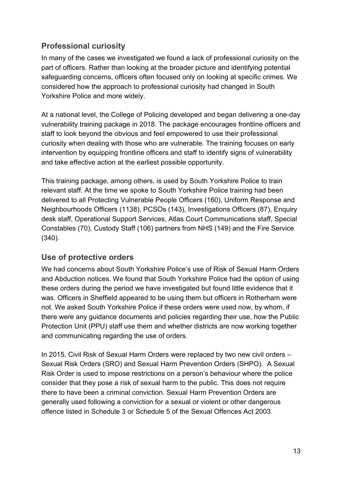#### **Professional curiosity**

In many of the cases we investigated we found a lack of professional curiosity on the part of officers. Rather than looking at the broader picture and identifying potential safeguarding concerns, officers often focused only on looking at specific crimes. We considered how the approach to professional curiosity had changed in South Yorkshire Police and more widely.

At a national level, the College of Policing developed and began delivering a one-day vulnerability training package in 2018. The package encourages frontline officers and staff to look beyond the obvious and feel empowered to use their professional curiosity when dealing with those who are vulnerable. The training focuses on early intervention by equipping frontline officers and staff to identify signs of vulnerability and take effective action at the earliest possible opportunity.

This training package, among others, is used by South Yorkshire Police to train relevant staff. At the time we spoke to South Yorkshire Police training had been delivered to all Protecting Vulnerable People Officers (160), Uniform Response and Neighbourhoods Officers (1138), PCSOs (143), Investigations Officers (87), Enquiry desk staff, Operational Support Services, Atlas Court Communications staff, Special Constables (70), Custody Staff (106) partners from NHS (149) and the Fire Service (340).

#### **Use of protective orders**

We had concerns about South Yorkshire Police's use of Risk of Sexual Harm Orders and Abduction notices. We found that South Yorkshire Police had the option of using these orders during the period we have investigated but found little evidence that it was. Officers in Sheffield appeared to be using them but officers in Rotherham were not. We asked South Yorkshire Police if these orders were used now, by whom, if there were any guidance documents and policies regarding their use, how the Public Protection Unit (PPU) staff use them and whether districts are now working together and communicating regarding the use of orders.

In 2015, Civil Risk of Sexual Harm Orders were replaced by two new civil orders – Sexual Risk Orders (SRO) and Sexual Harm Prevention Orders (SHPO). A Sexual Risk Order is used to impose restrictions on a person's behaviour where the police consider that they pose a risk of sexual harm to the public. This does not require there to have been a criminal conviction. Sexual Harm Prevention Orders are generally used following a conviction for a sexual or violent or other dangerous offence listed in Schedule 3 or Schedule 5 of the Sexual Offences Act 2003.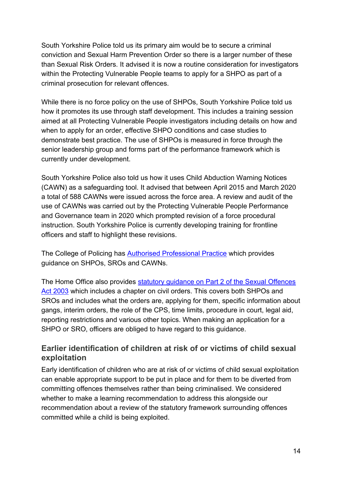South Yorkshire Police told us its primary aim would be to secure a criminal conviction and Sexual Harm Prevention Order so there is a larger number of these than Sexual Risk Orders. It advised it is now a routine consideration for investigators within the Protecting Vulnerable People teams to apply for a SHPO as part of a criminal prosecution for relevant offences.

While there is no force policy on the use of SHPOs, South Yorkshire Police told us how it promotes its use through staff development. This includes a training session aimed at all Protecting Vulnerable People investigators including details on how and when to apply for an order, effective SHPO conditions and case studies to demonstrate best practice. The use of SHPOs is measured in force through the senior leadership group and forms part of the performance framework which is currently under development.

South Yorkshire Police also told us how it uses Child Abduction Warning Notices (CAWN) as a safeguarding tool. It advised that between April 2015 and March 2020 a total of 588 CAWNs were issued across the force area. A review and audit of the use of CAWNs was carried out by the Protecting Vulnerable People Performance and Governance team in 2020 which prompted revision of a force procedural instruction. South Yorkshire Police is currently developing training for frontline officers and staff to highlight these revisions.

The College of Policing has [Authorised Professional Practice](https://www.app.college.police.uk/app-content/major-investigation-and-public-protection/managing-sexual-offenders-and-violent-offenders/court-orders-and-notices/?highlight=cawn?s=cawn) which provides guidance on SHPOs, SROs and CAWNs.

The Home Office also provides [statutory guidance on Part 2 of the Sexual Offences](https://assets.publishing.service.gov.uk/government/uploads/system/uploads/attachment_data/file/755142/11.18guidanceonpart2ofthesexualoffencesact2003.pdf)  [Act 2003](https://assets.publishing.service.gov.uk/government/uploads/system/uploads/attachment_data/file/755142/11.18guidanceonpart2ofthesexualoffencesact2003.pdf) which includes a chapter on civil orders. This covers both SHPOs and SROs and includes what the orders are, applying for them, specific information about gangs, interim orders, the role of the CPS, time limits, procedure in court, legal aid, reporting restrictions and various other topics. When making an application for a SHPO or SRO, officers are obliged to have regard to this guidance.

#### **Earlier identification of children at risk of or victims of child sexual exploitation**

Early identification of children who are at risk of or victims of child sexual exploitation can enable appropriate support to be put in place and for them to be diverted from committing offences themselves rather than being criminalised. We considered whether to make a learning recommendation to address this alongside our recommendation about a review of the statutory framework surrounding offences committed while a child is being exploited.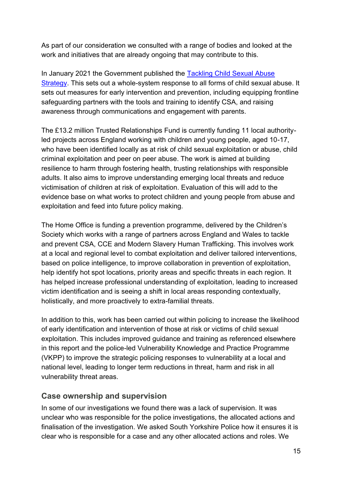As part of our consideration we consulted with a range of bodies and looked at the work and initiatives that are already ongoing that may contribute to this.

In January 2021 the Government published the [Tackling Child Sexual Abuse](https://www.gov.uk/government/publications/tackling-child-sexual-abuse-strategy)  [Strategy.](https://www.gov.uk/government/publications/tackling-child-sexual-abuse-strategy) This sets out a whole-system response to all forms of child sexual abuse. It sets out measures for early intervention and prevention, including equipping frontline safeguarding partners with the tools and training to identify CSA, and raising awareness through communications and engagement with parents.

The £13.2 million Trusted Relationships Fund is currently funding 11 local authorityled projects across England working with children and young people, aged 10-17, who have been identified locally as at risk of child sexual exploitation or abuse, child criminal exploitation and peer on peer abuse. The work is aimed at building resilience to harm through fostering health, trusting relationships with responsible adults. It also aims to improve understanding emerging local threats and reduce victimisation of children at risk of exploitation. Evaluation of this will add to the evidence base on what works to protect children and young people from abuse and exploitation and feed into future policy making.

The Home Office is funding a prevention programme, delivered by the Children's Society which works with a range of partners across England and Wales to tackle and prevent CSA, CCE and Modern Slavery Human Trafficking. This involves work at a local and regional level to combat exploitation and deliver tailored interventions, based on police intelligence, to improve collaboration in prevention of exploitation, help identify hot spot locations, priority areas and specific threats in each region. It has helped increase professional understanding of exploitation, leading to increased victim identification and is seeing a shift in local areas responding contextually, holistically, and more proactively to extra-familial threats.

In addition to this, work has been carried out within policing to increase the likelihood of early identification and intervention of those at risk or victims of child sexual exploitation. This includes improved guidance and training as referenced elsewhere in this report and the police-led Vulnerability Knowledge and Practice Programme (VKPP) to improve the strategic policing responses to vulnerability at a local and national level, leading to longer term reductions in threat, harm and risk in all vulnerability threat areas.

#### **Case ownership and supervision**

In some of our investigations we found there was a lack of supervision. It was unclear who was responsible for the police investigations, the allocated actions and finalisation of the investigation. We asked South Yorkshire Police how it ensures it is clear who is responsible for a case and any other allocated actions and roles. We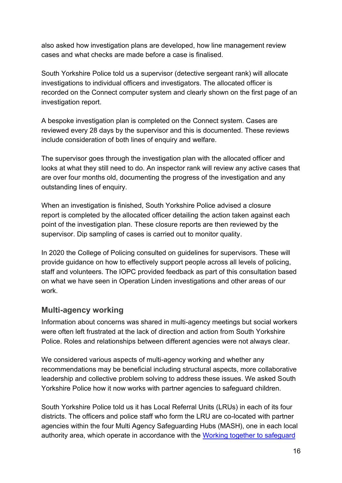also asked how investigation plans are developed, how line management review cases and what checks are made before a case is finalised.

South Yorkshire Police told us a supervisor (detective sergeant rank) will allocate investigations to individual officers and investigators. The allocated officer is recorded on the Connect computer system and clearly shown on the first page of an investigation report.

A bespoke investigation plan is completed on the Connect system. Cases are reviewed every 28 days by the supervisor and this is documented. These reviews include consideration of both lines of enquiry and welfare.

The supervisor goes through the investigation plan with the allocated officer and looks at what they still need to do. An inspector rank will review any active cases that are over four months old, documenting the progress of the investigation and any outstanding lines of enquiry.

When an investigation is finished, South Yorkshire Police advised a closure report is completed by the allocated officer detailing the action taken against each point of the investigation plan. These closure reports are then reviewed by the supervisor. Dip sampling of cases is carried out to monitor quality.

In 2020 the College of Policing consulted on guidelines for supervisors. These will provide guidance on how to effectively support people across all levels of policing, staff and volunteers. The IOPC provided feedback as part of this consultation based on what we have seen in Operation Linden investigations and other areas of our work.

#### **Multi-agency working**

Information about concerns was shared in multi-agency meetings but social workers were often left frustrated at the lack of direction and action from South Yorkshire Police. Roles and relationships between different agencies were not always clear.

We considered various aspects of multi-agency working and whether any recommendations may be beneficial including structural aspects, more collaborative leadership and collective problem solving to address these issues. We asked South Yorkshire Police how it now works with partner agencies to safeguard children.

South Yorkshire Police told us it has Local Referral Units (LRUs) in each of its four districts. The officers and police staff who form the LRU are co-located with partner agencies within the four Multi Agency Safeguarding Hubs (MASH), one in each local authority area, which operate in accordance with the [Working together to safeguard](https://assets.publishing.service.gov.uk/government/uploads/system/uploads/attachment_data/file/942454/Working_together_to_safeguard_children_inter_agency_guidance.pdf)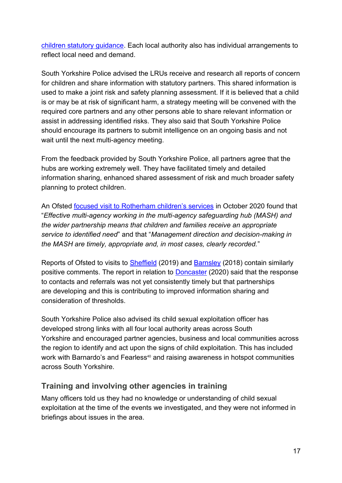[children statutory guidance.](https://assets.publishing.service.gov.uk/government/uploads/system/uploads/attachment_data/file/942454/Working_together_to_safeguard_children_inter_agency_guidance.pdf) Each local authority also has individual arrangements to reflect local need and demand.

South Yorkshire Police advised the LRUs receive and research all reports of concern for children and share information with statutory partners. This shared information is used to make a joint risk and safety planning assessment. If it is believed that a child is or may be at risk of significant harm, a strategy meeting will be convened with the required core partners and any other persons able to share relevant information or assist in addressing identified risks. They also said that South Yorkshire Police should encourage its partners to submit intelligence on an ongoing basis and not wait until the next multi-agency meeting.

From the feedback provided by South Yorkshire Police, all partners agree that the hubs are working extremely well. They have facilitated timely and detailed information sharing, enhanced shared assessment of risk and much broader safety planning to protect children.

An Ofsted [focused visit to Rotherham children's services](https://files.ofsted.gov.uk/v1/file/50157487) in October 2020 found that "*Effective multi-agency working in the multi-agency safeguarding hub (MASH) and the wider partnership means that children and families receive an appropriate service to identified need*" and that "*Management direction and decision-making in the MASH are timely, appropriate and, in most cases, clearly recorded.*"

Reports of Ofsted to visits to [Sheffield](https://files.ofsted.gov.uk/v1/file/50103320) (2019) and [Barnsley](https://files.ofsted.gov.uk/v1/file/50038886) (2018) contain similarly positive comments. The report in relation to [Doncaster](https://files.ofsted.gov.uk/v1/file/50161792) (2020) said that the response to contacts and referrals was not yet consistently timely but that partnerships are developing and this is contributing to improved information sharing and consideration of thresholds.

South Yorkshire Police also advised its child sexual exploitation officer has developed strong links with all four local authority areas across South Yorkshire and encouraged partner agencies, business and local communities across the region to identify and act upon the signs of child exploitation. This has included work with Barnardo's and Fearless<sup>40</sup> and raising awareness in hotspot communities across South Yorkshire.

#### **Training and involving other agencies in training**

Many officers told us they had no knowledge or understanding of child sexual exploitation at the time of the events we investigated, and they were not informed in briefings about issues in the area.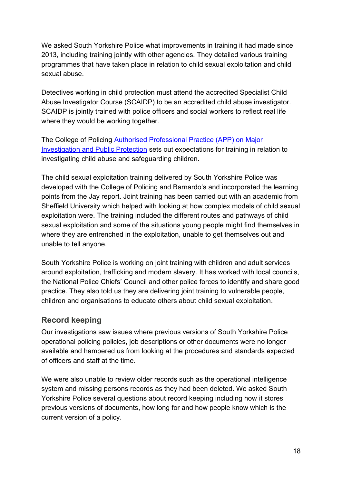We asked South Yorkshire Police what improvements in training it had made since 2013, including training jointly with other agencies. They detailed various training programmes that have taken place in relation to child sexual exploitation and child sexual abuse.

Detectives working in child protection must attend the accredited Specialist Child Abuse Investigator Course (SCAIDP) to be an accredited child abuse investigator. SCAIDP is jointly trained with police officers and social workers to reflect real life where they would be working together.

The College of Policing [Authorised Professional Practice \(APP\) on Major](https://www.app.college.police.uk/app-content/major-investigation-and-public-protection/child-abuse/police-response/staffing/#training-and-development)  [Investigation and Public Protection](https://www.app.college.police.uk/app-content/major-investigation-and-public-protection/child-abuse/police-response/staffing/#training-and-development) sets out expectations for training in relation to investigating child abuse and safeguarding children.

The child sexual exploitation training delivered by South Yorkshire Police was developed with the College of Policing and Barnardo's and incorporated the learning points from the Jay report. Joint training has been carried out with an academic from Sheffield University which helped with looking at how complex models of child sexual exploitation were. The training included the different routes and pathways of child sexual exploitation and some of the situations young people might find themselves in where they are entrenched in the exploitation, unable to get themselves out and unable to tell anyone.

South Yorkshire Police is working on joint training with children and adult services around exploitation, trafficking and modern slavery. It has worked with local councils, the National Police Chiefs' Council and other police forces to identify and share good practice. They also told us they are delivering joint training to vulnerable people, children and organisations to educate others about child sexual exploitation.

#### **Record keeping**

Our investigations saw issues where previous versions of South Yorkshire Police operational policing policies, job descriptions or other documents were no longer available and hampered us from looking at the procedures and standards expected of officers and staff at the time.

We were also unable to review older records such as the operational intelligence system and missing persons records as they had been deleted. We asked South Yorkshire Police several questions about record keeping including how it stores previous versions of documents, how long for and how people know which is the current version of a policy.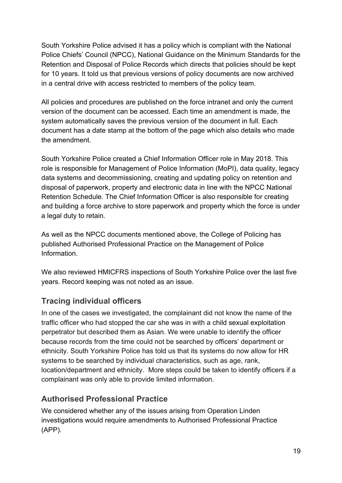South Yorkshire Police advised it has a policy which is compliant with the National Police Chiefs' Council (NPCC), National Guidance on the Minimum Standards for the Retention and Disposal of Police Records which directs that policies should be kept for 10 years. It told us that previous versions of policy documents are now archived in a central drive with access restricted to members of the policy team.

All policies and procedures are published on the force intranet and only the current version of the document can be accessed. Each time an amendment is made, the system automatically saves the previous version of the document in full. Each document has a date stamp at the bottom of the page which also details who made the amendment.

South Yorkshire Police created a Chief Information Officer role in May 2018. This role is responsible for Management of Police Information (MoPI), data quality, legacy data systems and decommissioning, creating and updating policy on retention and disposal of paperwork, property and electronic data in line with the NPCC National Retention Schedule. The Chief Information Officer is also responsible for creating and building a force archive to store paperwork and property which the force is under a legal duty to retain.

As well as the NPCC documents mentioned above, the College of Policing has published Authorised Professional Practice on the Management of Police **Information** 

We also reviewed HMICFRS inspections of South Yorkshire Police over the last five years. Record keeping was not noted as an issue.

#### **Tracing individual officers**

In one of the cases we investigated, the complainant did not know the name of the traffic officer who had stopped the car she was in with a child sexual exploitation perpetrator but described them as Asian. We were unable to identify the officer because records from the time could not be searched by officers' department or ethnicity. South Yorkshire Police has told us that its systems do now allow for HR systems to be searched by individual characteristics, such as age, rank, location/department and ethnicity. More steps could be taken to identify officers if a complainant was only able to provide limited information.

#### **Authorised Professional Practice**

We considered whether any of the issues arising from Operation Linden investigations would require amendments to Authorised Professional Practice (APP).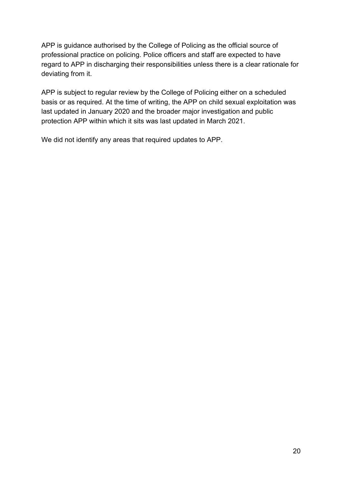APP is guidance authorised by the College of Policing as the official source of professional practice on policing. Police officers and staff are expected to have regard to APP in discharging their responsibilities unless there is a clear rationale for deviating from it.

APP is subject to regular review by the College of Policing either on a scheduled basis or as required. At the time of writing, the APP on child sexual exploitation was last updated in January 2020 and the broader major investigation and public protection APP within which it sits was last updated in March 2021.

We did not identify any areas that required updates to APP.